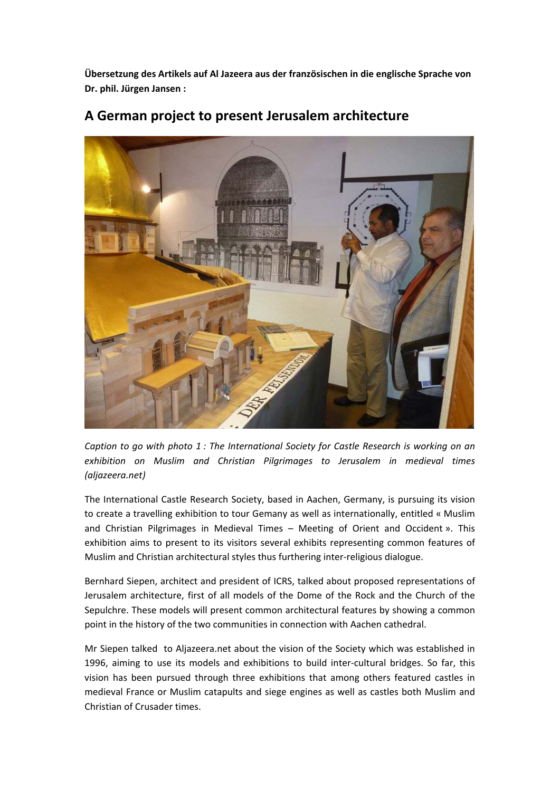**Übersetzung des Artikels auf Al Jazeera aus der französischen in die englische Sprache von Dr. phil. Jürgen Jansen :** 



## **A German project to present Jerusalem architecture**

*Caption to go with photo 1 : The International Society for Castle Research is working on an exhibition on Muslim and Christian Pilgrimages to Jerusalem in medieval times (aljazeera.net)*

The International Castle Research Society, based in Aachen, Germany, is pursuing its vision to create a travelling exhibition to tour Gemany as well as internationally, entitled « Muslim and Christian Pilgrimages in Medieval Times – Meeting of Orient and Occident ». This exhibition aims to present to its visitors several exhibits representing common features of Muslim and Christian architectural styles thus furthering inter‐religious dialogue.

Bernhard Siepen, architect and president of ICRS, talked about proposed representations of Jerusalem architecture, first of all models of the Dome of the Rock and the Church of the Sepulchre. These models will present common architectural features by showing a common point in the history of the two communities in connection with Aachen cathedral.

Mr Siepen talked to Aljazeera.net about the vision of the Society which was established in 1996, aiming to use its models and exhibitions to build inter-cultural bridges. So far, this vision has been pursued through three exhibitions that among others featured castles in medieval France or Muslim catapults and siege engines as well as castles both Muslim and Christian of Crusader times.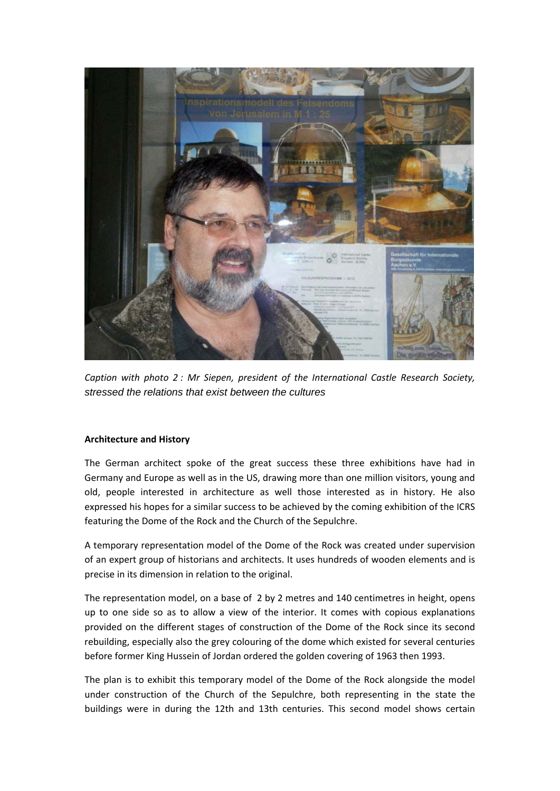

*Caption with photo 2 : Mr Siepen, president of the International Castle Research Society, stressed the relations that exist between the cultures*

## **Architecture and History**

The German architect spoke of the great success these three exhibitions have had in Germany and Europe as well as in the US, drawing more than one million visitors, young and old, people interested in architecture as well those interested as in history. He also expressed his hopes for a similar success to be achieved by the coming exhibition of the ICRS featuring the Dome of the Rock and the Church of the Sepulchre.

A temporary representation model of the Dome of the Rock was created under supervision of an expert group of historians and architects. It uses hundreds of wooden elements and is precise in its dimension in relation to the original.

The representation model, on a base of 2 by 2 metres and 140 centimetres in height, opens up to one side so as to allow a view of the interior. It comes with copious explanations provided on the different stages of construction of the Dome of the Rock since its second rebuilding, especially also the grey colouring of the dome which existed for several centuries before former King Hussein of Jordan ordered the golden covering of 1963 then 1993.

The plan is to exhibit this temporary model of the Dome of the Rock alongside the model under construction of the Church of the Sepulchre, both representing in the state the buildings were in during the 12th and 13th centuries. This second model shows certain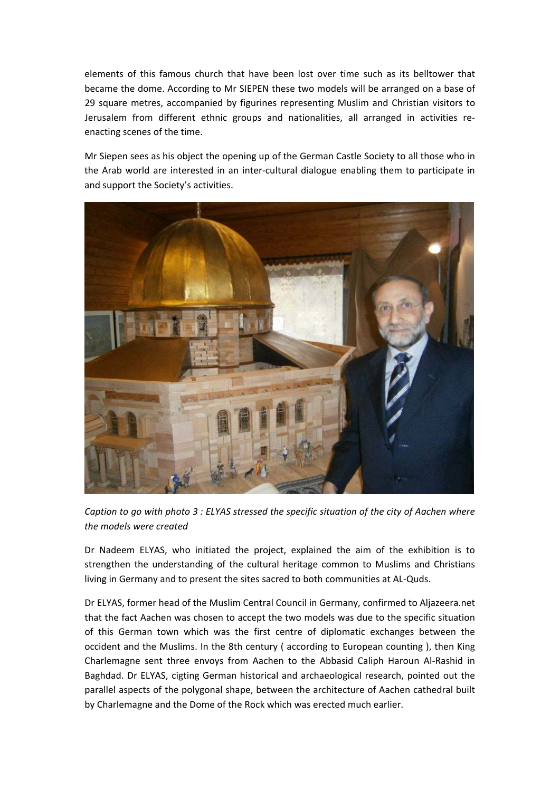elements of this famous church that have been lost over time such as its belltower that became the dome. According to Mr SIEPEN these two models will be arranged on a base of 29 square metres, accompanied by figurines representing Muslim and Christian visitors to Jerusalem from different ethnic groups and nationalities, all arranged in activities re‐ enacting scenes of the time.

Mr Siepen sees as his object the opening up of the German Castle Society to all those who in the Arab world are interested in an inter-cultural dialogue enabling them to participate in and support the Society's activities.



*Caption to go with photo 3 : ELYAS stressed the specific situation of the city of Aachen where the models were created*

Dr Nadeem ELYAS, who initiated the project, explained the aim of the exhibition is to strengthen the understanding of the cultural heritage common to Muslims and Christians living in Germany and to present the sites sacred to both communities at AL‐Quds.

Dr ELYAS, former head of the Muslim Central Council in Germany, confirmed to Aljazeera.net that the fact Aachen was chosen to accept the two models was due to the specific situation of this German town which was the first centre of diplomatic exchanges between the occident and the Muslims. In the 8th century ( according to European counting ), then King Charlemagne sent three envoys from Aachen to the Abbasid Caliph Haroun Al‐Rashid in Baghdad. Dr ELYAS, cigting German historical and archaeological research, pointed out the parallel aspects of the polygonal shape, between the architecture of Aachen cathedral built by Charlemagne and the Dome of the Rock which was erected much earlier.